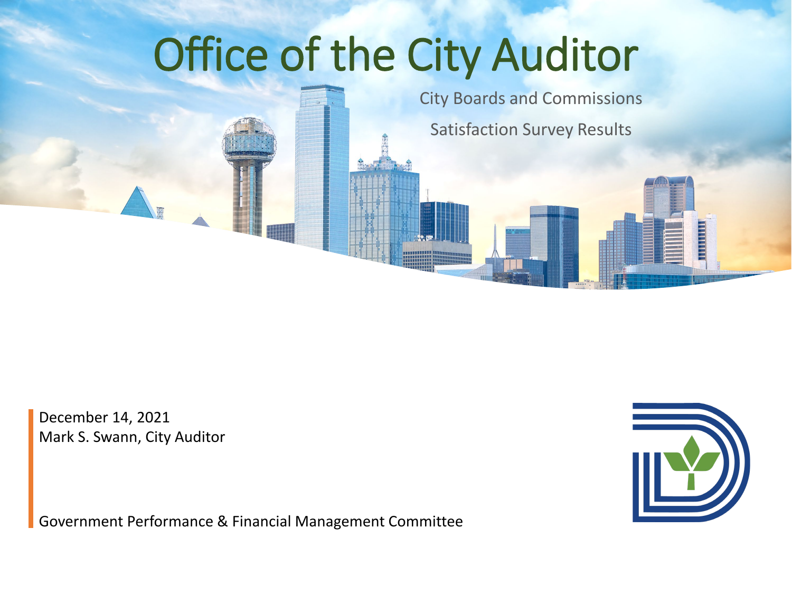# Office of the City Auditor

City Boards and Commissions Satisfaction Survey Results

December 14, 2021 Mark S. Swann, City Auditor

Government Performance & Financial Management Committee

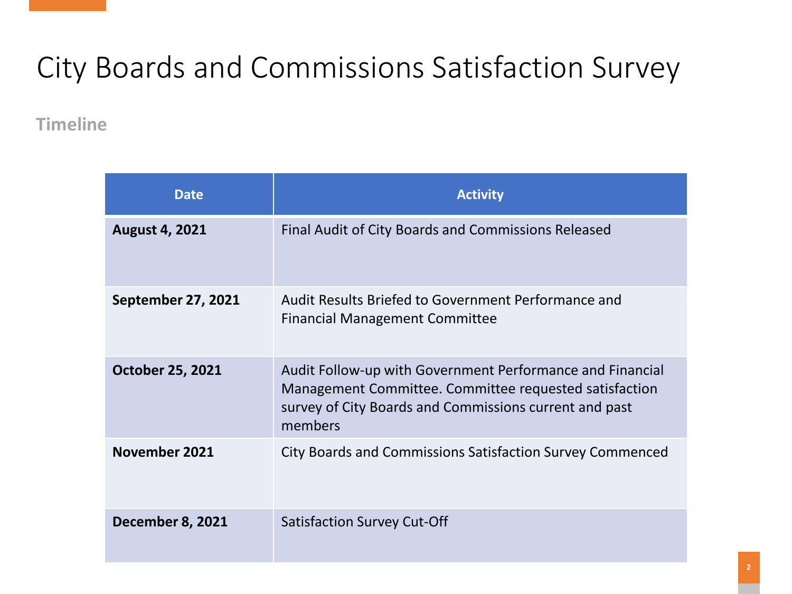**Timeline**

| <b>Date</b>               | <b>Activity</b>                                                                                                                                                                          |
|---------------------------|------------------------------------------------------------------------------------------------------------------------------------------------------------------------------------------|
| <b>August 4, 2021</b>     | Final Audit of City Boards and Commissions Released                                                                                                                                      |
| <b>September 27, 2021</b> | Audit Results Briefed to Government Performance and<br><b>Financial Management Committee</b>                                                                                             |
| <b>October 25, 2021</b>   | Audit Follow-up with Government Performance and Financial<br>Management Committee. Committee requested satisfaction<br>survey of City Boards and Commissions current and past<br>members |
| November 2021             | City Boards and Commissions Satisfaction Survey Commenced                                                                                                                                |
| <b>December 8, 2021</b>   | <b>Satisfaction Survey Cut-Off</b>                                                                                                                                                       |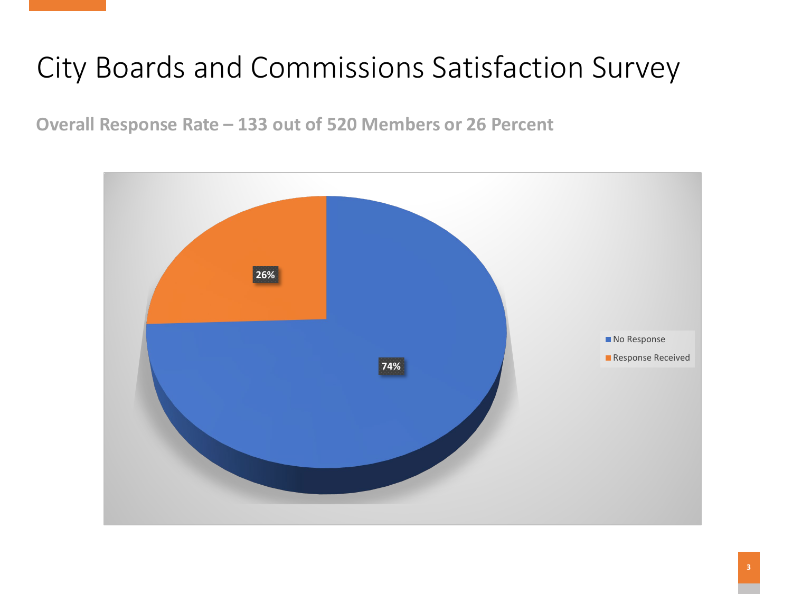**Overall Response Rate – 133 out of 520 Members or 26 Percent**

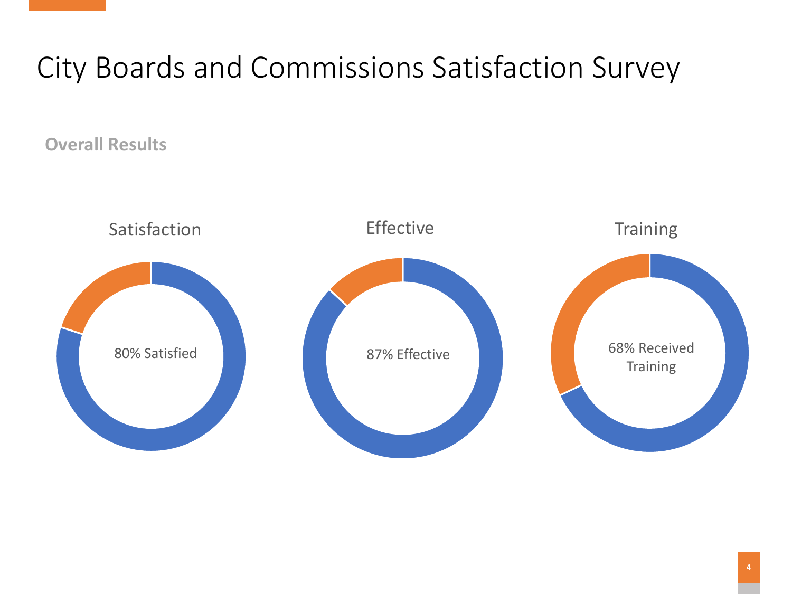**Overall Results**

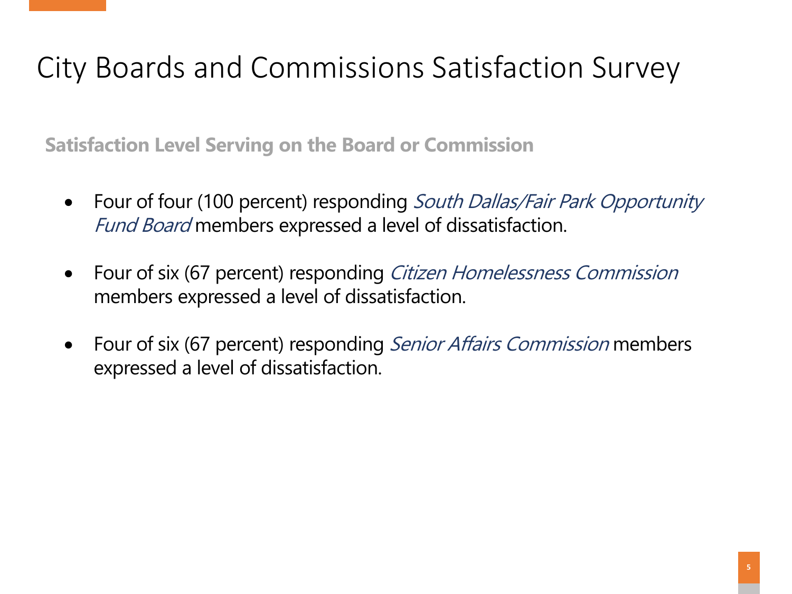**Satisfaction Level Serving on the Board or Commission**

- Four of four (100 percent) responding South Dallas/Fair Park Opportunity Fund Board members expressed a level of dissatisfaction.
- Four of six (67 percent) responding *Citizen Homelessness Commission* members expressed a level of dissatisfaction.
- Four of six (67 percent) responding Senior Affairs Commission members expressed a level of dissatisfaction.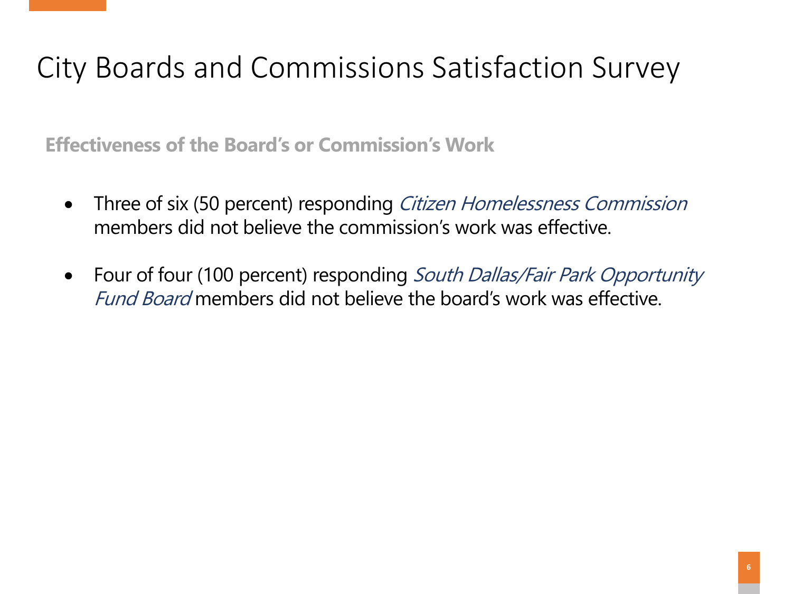**Effectiveness of the Board's or Commission's Work**

- Three of six (50 percent) responding *Citizen Homelessness Commission* members did not believe the commission's work was effective.
- Four of four (100 percent) responding South Dallas/Fair Park Opportunity Fund Board members did not believe the board's work was effective.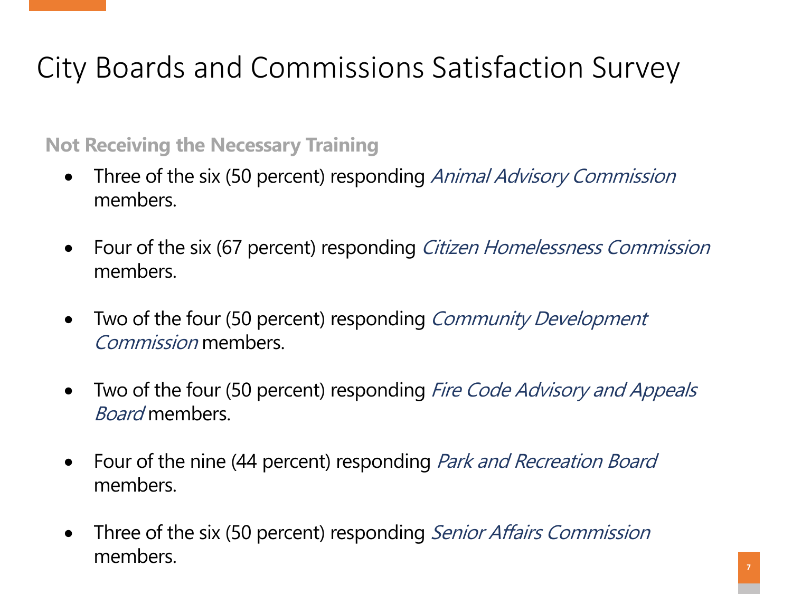#### **Not Receiving the Necessary Training**

- Three of the six (50 percent) responding *Animal Advisory Commission* members.
- Four of the six (67 percent) responding Citizen Homelessness Commission members.
- Two of the four (50 percent) responding Community Development Commission members.
- Two of the four (50 percent) responding Fire Code Advisory and Appeals Board members.
- Four of the nine (44 percent) responding *Park and Recreation Board* members.
- Three of the six (50 percent) responding *Senior Affairs Commission* members.